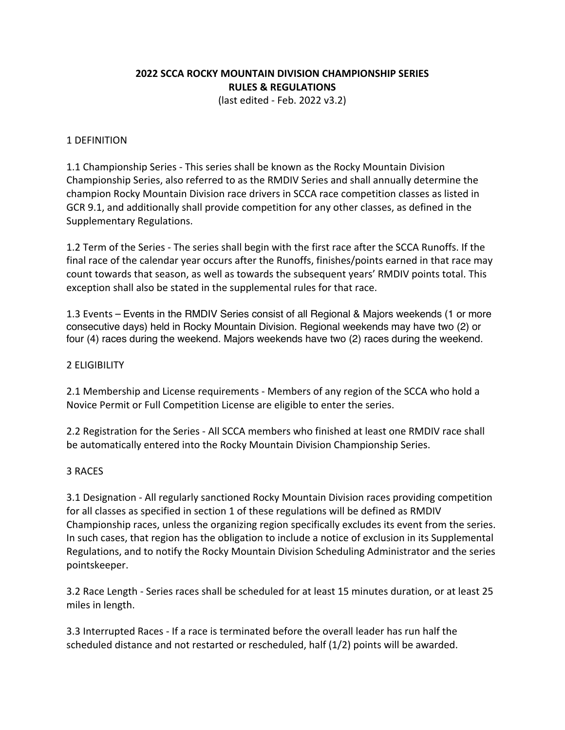# **2022 SCCA ROCKY MOUNTAIN DIVISION CHAMPIONSHIP SERIES RULES & REGULATIONS**

(last edited - Feb. 2022 v3.2)

### 1 DEFINITION

1.1 Championship Series - This series shall be known as the Rocky Mountain Division Championship Series, also referred to as the RMDIV Series and shall annually determine the champion Rocky Mountain Division race drivers in SCCA race competition classes as listed in GCR 9.1, and additionally shall provide competition for any other classes, as defined in the Supplementary Regulations.

1.2 Term of the Series - The series shall begin with the first race after the SCCA Runoffs. If the final race of the calendar year occurs after the Runoffs, finishes/points earned in that race may count towards that season, as well as towards the subsequent years' RMDIV points total. This exception shall also be stated in the supplemental rules for that race.

1.3 Events – Events in the RMDIV Series consist of all Regional & Majors weekends (1 or more consecutive days) held in Rocky Mountain Division. Regional weekends may have two (2) or four (4) races during the weekend. Majors weekends have two (2) races during the weekend.

### 2 ELIGIBILITY

2.1 Membership and License requirements - Members of any region of the SCCA who hold a Novice Permit or Full Competition License are eligible to enter the series.

2.2 Registration for the Series - All SCCA members who finished at least one RMDIV race shall be automatically entered into the Rocky Mountain Division Championship Series.

### 3 RACES

3.1 Designation - All regularly sanctioned Rocky Mountain Division races providing competition for all classes as specified in section 1 of these regulations will be defined as RMDIV Championship races, unless the organizing region specifically excludes its event from the series. In such cases, that region has the obligation to include a notice of exclusion in its Supplemental Regulations, and to notify the Rocky Mountain Division Scheduling Administrator and the series pointskeeper.

3.2 Race Length - Series races shall be scheduled for at least 15 minutes duration, or at least 25 miles in length.

3.3 Interrupted Races - If a race is terminated before the overall leader has run half the scheduled distance and not restarted or rescheduled, half (1/2) points will be awarded.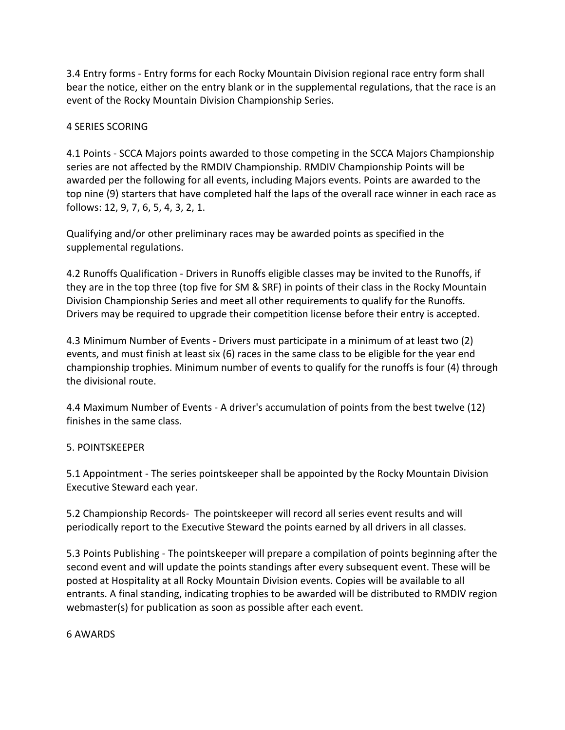3.4 Entry forms - Entry forms for each Rocky Mountain Division regional race entry form shall bear the notice, either on the entry blank or in the supplemental regulations, that the race is an event of the Rocky Mountain Division Championship Series.

# 4 SERIES SCORING

4.1 Points - SCCA Majors points awarded to those competing in the SCCA Majors Championship series are not affected by the RMDIV Championship. RMDIV Championship Points will be awarded per the following for all events, including Majors events. Points are awarded to the top nine (9) starters that have completed half the laps of the overall race winner in each race as follows: 12, 9, 7, 6, 5, 4, 3, 2, 1.

Qualifying and/or other preliminary races may be awarded points as specified in the supplemental regulations.

4.2 Runoffs Qualification - Drivers in Runoffs eligible classes may be invited to the Runoffs, if they are in the top three (top five for SM & SRF) in points of their class in the Rocky Mountain Division Championship Series and meet all other requirements to qualify for the Runoffs. Drivers may be required to upgrade their competition license before their entry is accepted.

4.3 Minimum Number of Events - Drivers must participate in a minimum of at least two (2) events, and must finish at least six (6) races in the same class to be eligible for the year end championship trophies. Minimum number of events to qualify for the runoffs is four (4) through the divisional route.

4.4 Maximum Number of Events - A driver's accumulation of points from the best twelve (12) finishes in the same class.

# 5. POINTSKEEPER

5.1 Appointment - The series pointskeeper shall be appointed by the Rocky Mountain Division Executive Steward each year.

5.2 Championship Records- The pointskeeper will record all series event results and will periodically report to the Executive Steward the points earned by all drivers in all classes.

5.3 Points Publishing - The pointskeeper will prepare a compilation of points beginning after the second event and will update the points standings after every subsequent event. These will be posted at Hospitality at all Rocky Mountain Division events. Copies will be available to all entrants. A final standing, indicating trophies to be awarded will be distributed to RMDIV region webmaster(s) for publication as soon as possible after each event.

# 6 AWARDS